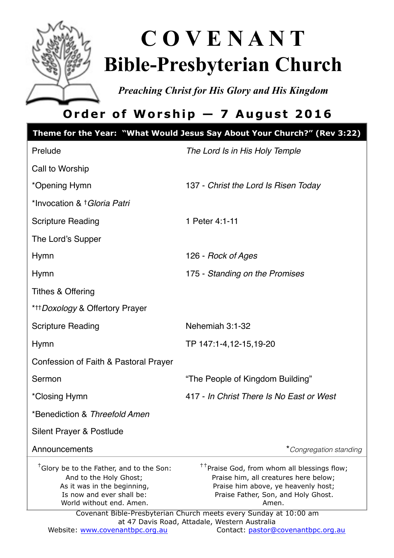

# **C O V E N A N T Bible-Presbyterian Church**

*Preaching Christ for His Glory and His Kingdom* 

# **Order of Worship — 7 August 2016**

|                                                                                                                                                                        | Theme for the Year: "What Would Jesus Say About Your Church?" (Rev 3:22)                                                                                                                                                                                                                                      |
|------------------------------------------------------------------------------------------------------------------------------------------------------------------------|---------------------------------------------------------------------------------------------------------------------------------------------------------------------------------------------------------------------------------------------------------------------------------------------------------------|
| Prelude                                                                                                                                                                | The Lord Is in His Holy Temple                                                                                                                                                                                                                                                                                |
| Call to Worship                                                                                                                                                        |                                                                                                                                                                                                                                                                                                               |
| *Opening Hymn                                                                                                                                                          | 137 - Christ the Lord Is Risen Today                                                                                                                                                                                                                                                                          |
| *Invocation & † <i>Gloria Patri</i>                                                                                                                                    |                                                                                                                                                                                                                                                                                                               |
| <b>Scripture Reading</b>                                                                                                                                               | 1 Peter 4:1-11                                                                                                                                                                                                                                                                                                |
| The Lord's Supper                                                                                                                                                      |                                                                                                                                                                                                                                                                                                               |
| <b>Hymn</b>                                                                                                                                                            | 126 - Rock of Ages                                                                                                                                                                                                                                                                                            |
| <b>Hymn</b>                                                                                                                                                            | 175 - Standing on the Promises                                                                                                                                                                                                                                                                                |
| Tithes & Offering                                                                                                                                                      |                                                                                                                                                                                                                                                                                                               |
| * <sup>+++</sup> Doxology & Offertory Prayer                                                                                                                           |                                                                                                                                                                                                                                                                                                               |
| <b>Scripture Reading</b>                                                                                                                                               | Nehemiah 3:1-32                                                                                                                                                                                                                                                                                               |
| Hymn                                                                                                                                                                   | TP 147:1-4,12-15,19-20                                                                                                                                                                                                                                                                                        |
| Confession of Faith & Pastoral Prayer                                                                                                                                  |                                                                                                                                                                                                                                                                                                               |
| Sermon                                                                                                                                                                 | "The People of Kingdom Building"                                                                                                                                                                                                                                                                              |
| *Closing Hymn                                                                                                                                                          | 417 - In Christ There Is No Fast or West                                                                                                                                                                                                                                                                      |
| *Benediction & Threefold Amen                                                                                                                                          |                                                                                                                                                                                                                                                                                                               |
| Silent Prayer & Postlude                                                                                                                                               |                                                                                                                                                                                                                                                                                                               |
| Announcements                                                                                                                                                          | *Congregation standing                                                                                                                                                                                                                                                                                        |
| <sup>†</sup> Glory be to the Father, and to the Son:<br>And to the Holy Ghost;<br>As it was in the beginning,<br>Is now and ever shall be:<br>World without end. Amen. | <sup>††</sup> Praise God, from whom all blessings flow;<br>Praise him, all creatures here below;<br>Praise him above, ye heavenly host;<br>Praise Father, Son, and Holy Ghost.<br>Amen.<br>Covenant Bible-Presbyterian Church meets every Sunday at 10:00 am<br>at 47 Davis Road, Attadale, Western Australia |
| Website: www.covenantbpc.org.au                                                                                                                                        | Contact: pastor@covenantbpc.org.au                                                                                                                                                                                                                                                                            |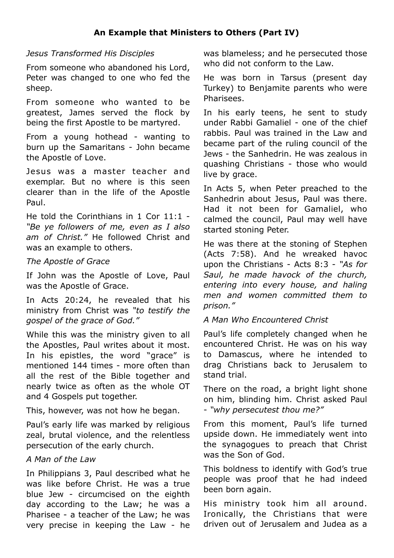#### *Jesus Transformed His Disciples*

From someone who abandoned his Lord, Peter was changed to one who fed the sheep.

From someone who wanted to be greatest, James served the flock by being the first Apostle to be martyred.

From a young hothead - wanting to burn up the Samaritans - John became the Apostle of Love.

Jesus was a master teacher and exemplar. But no where is this seen clearer than in the life of the Apostle Paul.

He told the Corinthians in 1 Cor 11:1 - *"Be ye followers of me, even as I also am of Christ."* He followed Christ and was an example to others.

#### *The Apostle of Grace*

If John was the Apostle of Love, Paul was the Apostle of Grace.

In Acts 20:24, he revealed that his ministry from Christ was *"to testify the gospel of the grace of God."*

While this was the ministry given to all the Apostles, Paul writes about it most. In his epistles, the word "grace" is mentioned 144 times - more often than all the rest of the Bible together and nearly twice as often as the whole OT and 4 Gospels put together.

This, however, was not how he began.

Paul's early life was marked by religious zeal, brutal violence, and the relentless persecution of the early church.

#### *A Man of the Law*

In Philippians 3, Paul described what he was like before Christ. He was a true blue Jew - circumcised on the eighth day according to the Law; he was a Pharisee - a teacher of the Law; he was very precise in keeping the Law - he was blameless; and he persecuted those who did not conform to the Law.

He was born in Tarsus (present day Turkey) to Benjamite parents who were Pharisees.

In his early teens, he sent to study under Rabbi Gamaliel - one of the chief rabbis. Paul was trained in the Law and became part of the ruling council of the Jews - the Sanhedrin. He was zealous in quashing Christians - those who would live by grace.

In Acts 5, when Peter preached to the Sanhedrin about Jesus, Paul was there. Had it not been for Gamaliel, who calmed the council, Paul may well have started stoning Peter.

He was there at the stoning of Stephen (Acts 7:58). And he wreaked havoc upon the Christians - Acts 8:3 - *"As for Saul, he made havock of the church, entering into every house, and haling men and women committed them to prison."*

#### *A Man Who Encountered Christ*

Paul's life completely changed when he encountered Christ. He was on his way to Damascus, where he intended to drag Christians back to Jerusalem to stand trial.

There on the road, a bright light shone on him, blinding him. Christ asked Paul - *"why persecutest thou me?"*

From this moment, Paul's life turned upside down. He immediately went into the synagogues to preach that Christ was the Son of God.

This boldness to identify with God's true people was proof that he had indeed been born again.

His ministry took him all around. Ironically, the Christians that were driven out of Jerusalem and Judea as a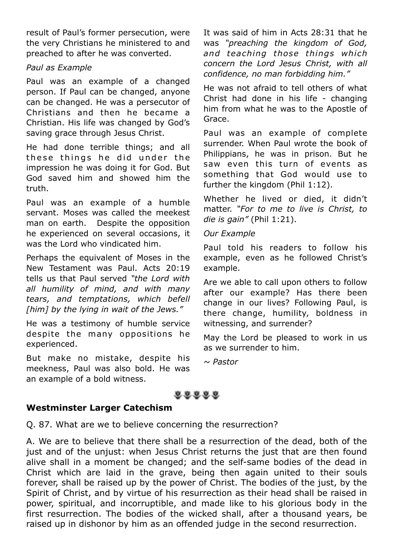result of Paul's former persecution, were the very Christians he ministered to and preached to after he was converted.

#### *Paul as Example*

Paul was an example of a changed person. If Paul can be changed, anyone can be changed. He was a persecutor of Christians and then he became a Christian. His life was changed by God's saving grace through Jesus Christ.

He had done terrible things; and all these things he did under the impression he was doing it for God. But God saved him and showed him the truth.

Paul was an example of a humble servant. Moses was called the meekest man on earth. Despite the opposition he experienced on several occasions, it was the Lord who vindicated him.

Perhaps the equivalent of Moses in the New Testament was Paul. Acts 20:19 tells us that Paul served *"the Lord with all humility of mind, and with many tears, and temptations, which befell [him] by the lying in wait of the Jews."*

He was a testimony of humble service despite the many oppositions he experienced.

But make no mistake, despite his meekness, Paul was also bold. He was an example of a bold witness.

It was said of him in Acts 28:31 that he was *"preaching the kingdom of God, and teaching those things which concern the Lord Jesus Christ, with all confidence, no man forbidding him."*

He was not afraid to tell others of what Christ had done in his life - changing him from what he was to the Apostle of Grace.

Paul was an example of complete surrender. When Paul wrote the book of Philippians, he was in prison. But he saw even this turn of events as something that God would use to further the kingdom (Phil 1:12).

Whether he lived or died, it didn't matter. *"For to me to live is Christ, to die is gain"* (Phil 1:21).

#### *Our Example*

Paul told his readers to follow his example, even as he followed Christ's example.

Are we able to call upon others to follow after our example? Has there been change in our lives? Following Paul, is there change, humility, boldness in witnessing, and surrender?

May the Lord be pleased to work in us as we surrender to him.

*~ Pastor*

88888

#### **Westminster Larger Catechism**

Q. 87. What are we to believe concerning the resurrection?

A. We are to believe that there shall be a resurrection of the dead, both of the just and of the unjust: when Jesus Christ returns the just that are then found alive shall in a moment be changed; and the self-same bodies of the dead in Christ which are laid in the grave, being then again united to their souls forever, shall be raised up by the power of Christ. The bodies of the just, by the Spirit of Christ, and by virtue of his resurrection as their head shall be raised in power, spiritual, and incorruptible, and made like to his glorious body in the first resurrection. The bodies of the wicked shall, after a thousand years, be raised up in dishonor by him as an offended judge in the second resurrection.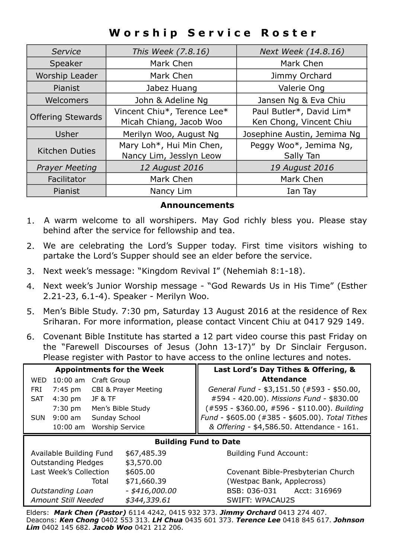# **Worship Service Roster**

| Service                  | This Week (7.8.16)          | Next Week (14.8.16)         |  |
|--------------------------|-----------------------------|-----------------------------|--|
| Speaker                  | Mark Chen                   | Mark Chen                   |  |
| Worship Leader           | Mark Chen                   | Jimmy Orchard               |  |
| Jabez Huang<br>Pianist   |                             | Valerie Ong                 |  |
| Welcomers                | John & Adeline Ng           | Jansen Ng & Eva Chiu        |  |
| <b>Offering Stewards</b> | Vincent Chiu*, Terence Lee* | Paul Butler*, David Lim*    |  |
|                          | Micah Chiang, Jacob Woo     | Ken Chong, Vincent Chiu     |  |
| Usher                    | Merilyn Woo, August Ng      | Josephine Austin, Jemima Ng |  |
|                          | Mary Loh*, Hui Min Chen,    | Peggy Woo*, Jemima Ng,      |  |
| Kitchen Duties           | Nancy Lim, Jesslyn Leow     | Sally Tan                   |  |
| <b>Prayer Meeting</b>    | 12 August 2016              | 19 August 2016              |  |
| Facilitator              | Mark Chen                   | Mark Chen                   |  |
| Pianist<br>Nancy Lim     |                             | Ian Tay                     |  |

#### **Announcements**

- 1. A warm welcome to all worshipers. May God richly bless you. Please stay behind after the service for fellowship and tea.
- 2. We are celebrating the Lord's Supper today. First time visitors wishing to partake the Lord's Supper should see an elder before the service.
- 3. Next week's message: "Kingdom Revival I" (Nehemiah 8:1-18).
- 4. Next week's Junior Worship message "God Rewards Us in His Time" (Esther 2.21-23, 6.1-4). Speaker - Merilyn Woo.
- 5. Men's Bible Study. 7:30 pm, Saturday 13 August 2016 at the residence of Rex Sriharan. For more information, please contact Vincent Chiu at 0417 929 149.
- 6. Covenant Bible Institute has started a 12 part video course this past Friday on the "Farewell Discourses of Jesus (John 13-17)" by Dr Sinclair Ferguson. Please register with Pastor to have access to the online lectures and notes.

| <b>Appointments for the Week</b>         |                                   |                          |                                               |                                                 | Last Lord's Day Tithes & Offering, &       |  |  |
|------------------------------------------|-----------------------------------|--------------------------|-----------------------------------------------|-------------------------------------------------|--------------------------------------------|--|--|
|                                          | <b>WED</b>                        | $10:00$ am               | Craft Group                                   |                                                 | <b>Attendance</b>                          |  |  |
|                                          | FRI                               | 7:45 pm                  |                                               | CBI & Prayer Meeting                            | General Fund - \$3,151.50 (#593 - \$50.00, |  |  |
|                                          | <b>SAT</b>                        | $4:30$ pm                | <b>JF &amp; TF</b>                            |                                                 | #594 - 420.00). Missions Fund - \$830.00   |  |  |
| $7:30$ pm                                |                                   | Men's Bible Study        | $(*595 - $360.00, #596 - $110.00)$ . Building |                                                 |                                            |  |  |
|                                          | $9:00$ am<br>Sunday School<br>SUN |                          |                                               | Fund - \$605.00 (#385 - \$605.00). Total Tithes |                                            |  |  |
|                                          |                                   | 10:00 am Worship Service |                                               |                                                 | & Offering - \$4,586.50. Attendance - 161. |  |  |
|                                          | <b>Building Fund to Date</b>      |                          |                                               |                                                 |                                            |  |  |
| Available Building Fund                  |                                   |                          |                                               | \$67,485.39                                     | <b>Building Fund Account:</b>              |  |  |
| <b>Outstanding Pledges</b><br>\$3,570.00 |                                   |                          |                                               |                                                 |                                            |  |  |
| Last Week's Collection                   |                                   |                          |                                               | \$605.00                                        | Covenant Bible-Presbyterian Church         |  |  |
|                                          |                                   |                          | Total                                         | \$71,660.39                                     | (Westpac Bank, Applecross)                 |  |  |
| $-$ \$416,000.00<br>Outstanding Loan     |                                   |                          |                                               |                                                 | Acct: 316969<br>BSB: 036-031               |  |  |
| Amount Still Needed<br>\$344,339.61      |                                   |                          |                                               |                                                 | SWIFT: WPACAU2S                            |  |  |
|                                          |                                   |                          |                                               |                                                 |                                            |  |  |

Elders: *Mark Chen (Pastor)* 6114 4242, 0415 932 373. *Jimmy Orchard* 0413 274 407. Deacons: *Ken Chong* 0402 553 313. *LH Chua* 0435 601 373. *Terence Lee* 0418 845 617. *Johnson Lim* 0402 145 682. *Jacob Woo* 0421 212 206.